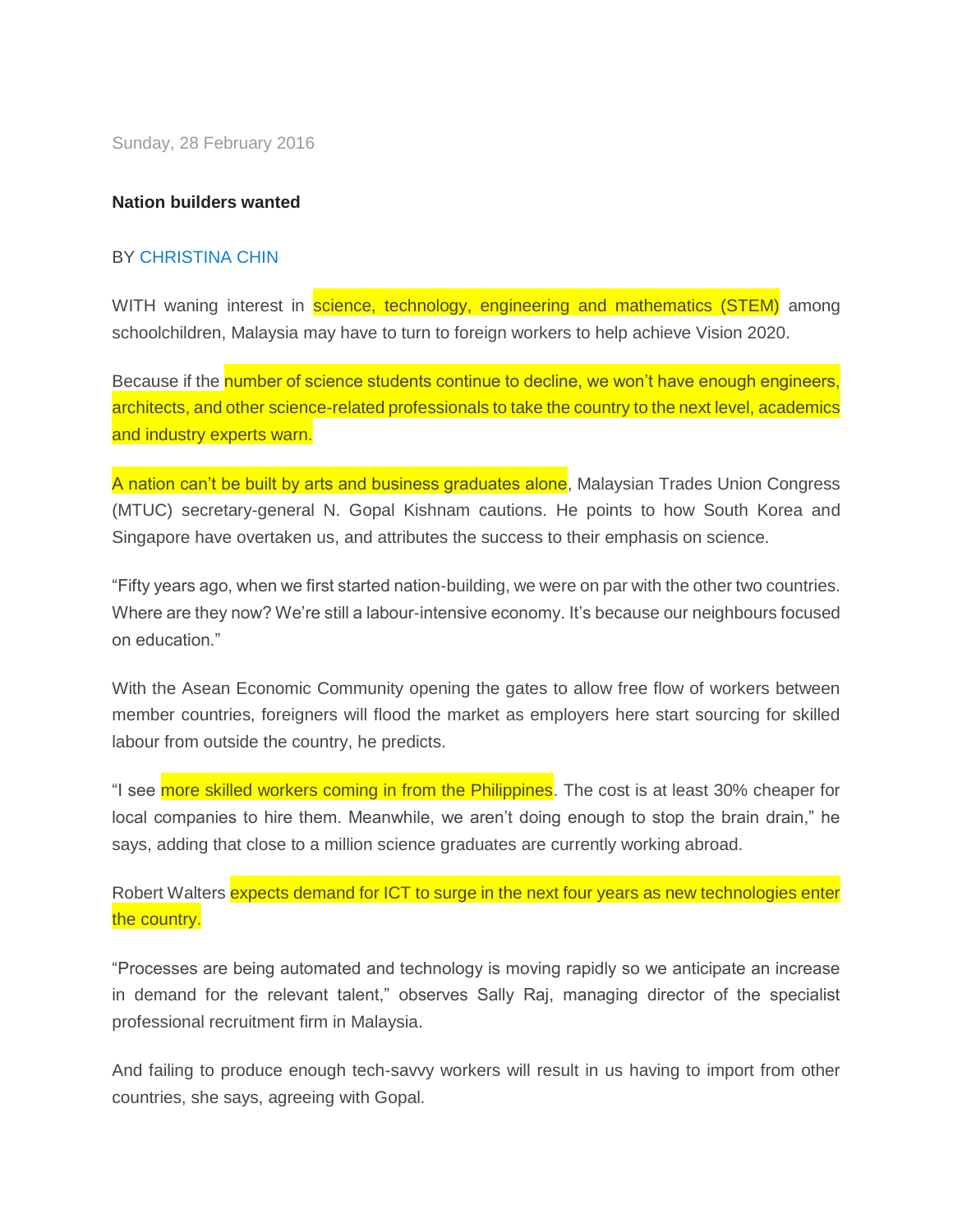Sunday, 28 February 2016

## **Nation builders wanted**

## BY [CHRISTINA CHIN](http://www.thestar.com.my/authors?q=%22Christina+Chin%22)

WITH waning interest in science, technology, engineering and mathematics (STEM) among schoolchildren, Malaysia may have to turn to foreign workers to help achieve Vision 2020.

Because if the number of science students continue to decline, we won't have enough engineers, architects, and other science-related professionals to take the country to the next level, academics and industry experts warn.

A nation can't be built by arts and business graduates alone, Malaysian Trades Union Congress (MTUC) secretary-general N. Gopal Kishnam cautions. He points to how South Korea and Singapore have overtaken us, and attributes the success to their emphasis on science.

"Fifty years ago, when we first started nation-building, we were on par with the other two countries. Where are they now? We're still a labour-intensive economy. It's because our neighbours focused on education."

With the Asean Economic Community opening the gates to allow free flow of workers between member countries, foreigners will flood the market as employers here start sourcing for skilled labour from outside the country, he predicts.

"I see more skilled workers coming in from the Philippines. The cost is at least 30% cheaper for local companies to hire them. Meanwhile, we aren't doing enough to stop the brain drain," he says, adding that close to a million science graduates are currently working abroad.

Robert Walters expects demand for ICT to surge in the next four years as new technologies enter the country.

"Processes are being automated and technology is moving rapidly so we anticipate an increase in demand for the relevant talent," observes Sally Raj, managing director of the specialist professional recruitment firm in Malaysia.

And failing to produce enough tech-savvy workers will result in us having to import from other countries, she says, agreeing with Gopal.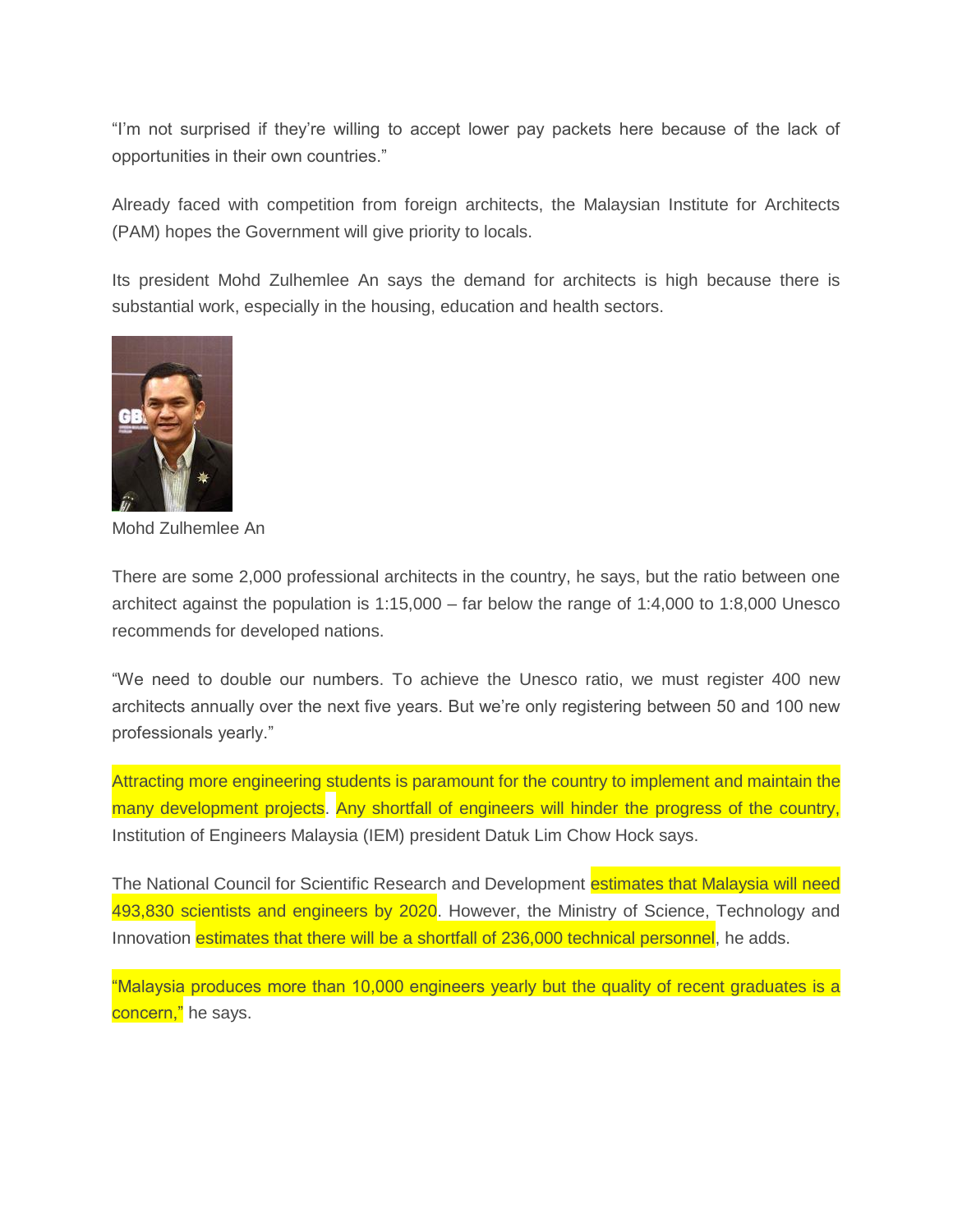"I'm not surprised if they're willing to accept lower pay packets here because of the lack of opportunities in their own countries."

Already faced with competition from foreign architects, the Malaysian Institute for Architects (PAM) hopes the Government will give priority to locals.

Its president Mohd Zulhemlee An says the demand for architects is high because there is substantial work, especially in the housing, education and health sectors.



Mohd Zulhemlee An

There are some 2,000 professional architects in the country, he says, but the ratio between one architect against the population is 1:15,000 – far below the range of 1:4,000 to 1:8,000 Unesco recommends for developed nations.

"We need to double our numbers. To achieve the Unesco ratio, we must register 400 new architects annually over the next five years. But we're only registering between 50 and 100 new professionals yearly."

Attracting more engineering students is paramount for the country to implement and maintain the many development projects. Any shortfall of engineers will hinder the progress of the country, Institution of Engineers Malaysia (IEM) president Datuk Lim Chow Hock says.

The National Council for Scientific Research and Development estimates that Malaysia will need 493,830 scientists and engineers by 2020. However, the Ministry of Science, Technology and Innovation estimates that there will be a shortfall of 236,000 technical personnel, he adds.

"Malaysia produces more than 10,000 engineers yearly but the quality of recent graduates is a concern," he says.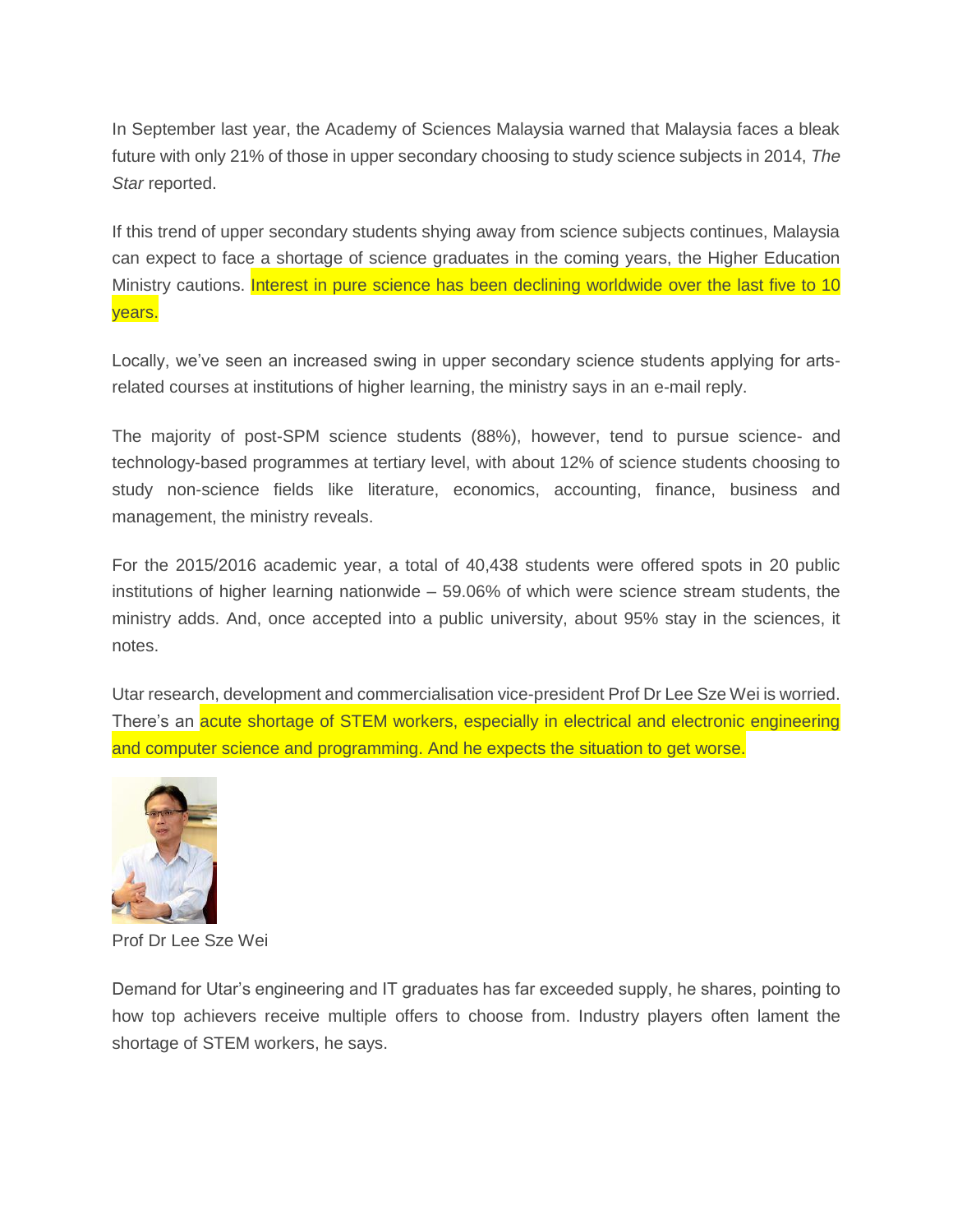In September last year, the Academy of Sciences Malaysia warned that Malaysia faces a bleak future with only 21% of those in upper secondary choosing to study science subjects in 2014, *The Star* reported.

If this trend of upper secondary students shying away from science subjects continues, Malaysia can expect to face a shortage of science graduates in the coming years, the Higher Education Ministry cautions. Interest in pure science has been declining worldwide over the last five to 10 years.

Locally, we've seen an increased swing in upper secondary science students applying for artsrelated courses at institutions of higher learning, the ministry says in an e-mail reply.

The majority of post-SPM science students (88%), however, tend to pursue science- and technology-based programmes at tertiary level, with about 12% of science students choosing to study non-science fields like literature, economics, accounting, finance, business and management, the ministry reveals.

For the 2015/2016 academic year, a total of 40,438 students were offered spots in 20 public institutions of higher learning nationwide – 59.06% of which were science stream students, the ministry adds. And, once accepted into a public university, about 95% stay in the sciences, it notes.

Utar research, development and commercialisation vice-president Prof Dr Lee Sze Wei is worried. There's an acute shortage of STEM workers, especially in electrical and electronic engineering and computer science and programming. And he expects the situation to get worse.



Prof Dr Lee Sze Wei

Demand for Utar's engineering and IT graduates has far exceeded supply, he shares, pointing to how top achievers receive multiple offers to choose from. Industry players often lament the shortage of STEM workers, he says.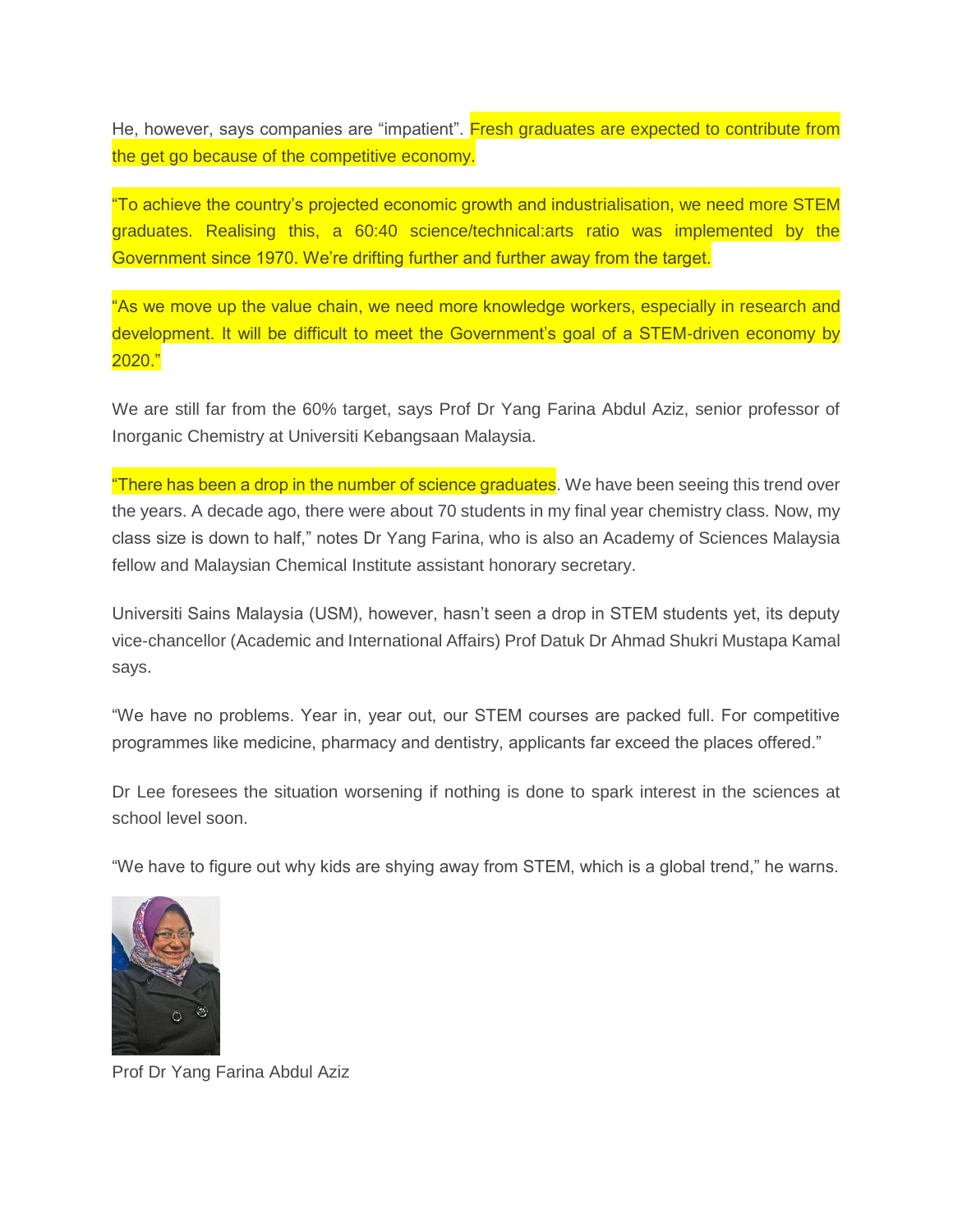He, however, says companies are "impatient". Fresh graduates are expected to contribute from the get go because of the competitive economy.

"To achieve the country's projected economic growth and industrialisation, we need more STEM graduates. Realising this, a 60:40 science/technical:arts ratio was implemented by the Government since 1970. We're drifting further and further away from the target.

"As we move up the value chain, we need more knowledge workers, especially in research and development. It will be difficult to meet the Government's goal of a STEM-driven economy by 2020."

We are still far from the 60% target, says Prof Dr Yang Farina Abdul Aziz, senior professor of Inorganic Chemistry at Universiti Kebangsaan Malaysia.

"There has been a drop in the number of science graduates. We have been seeing this trend over the years. A decade ago, there were about 70 students in my final year chemistry class. Now, my class size is down to half," notes Dr Yang Farina, who is also an Academy of Sciences Malaysia fellow and Malaysian Chemical Institute assistant honorary secretary.

Universiti Sains Malaysia (USM), however, hasn't seen a drop in STEM students yet, its deputy vice-chancellor (Academic and International Affairs) Prof Datuk Dr Ahmad Shukri Mustapa Kamal says.

"We have no problems. Year in, year out, our STEM courses are packed full. For competitive programmes like medicine, pharmacy and dentistry, applicants far exceed the places offered."

Dr Lee foresees the situation worsening if nothing is done to spark interest in the sciences at school level soon.

"We have to figure out why kids are shying away from STEM, which is a global trend," he warns.



Prof Dr Yang Farina Abdul Aziz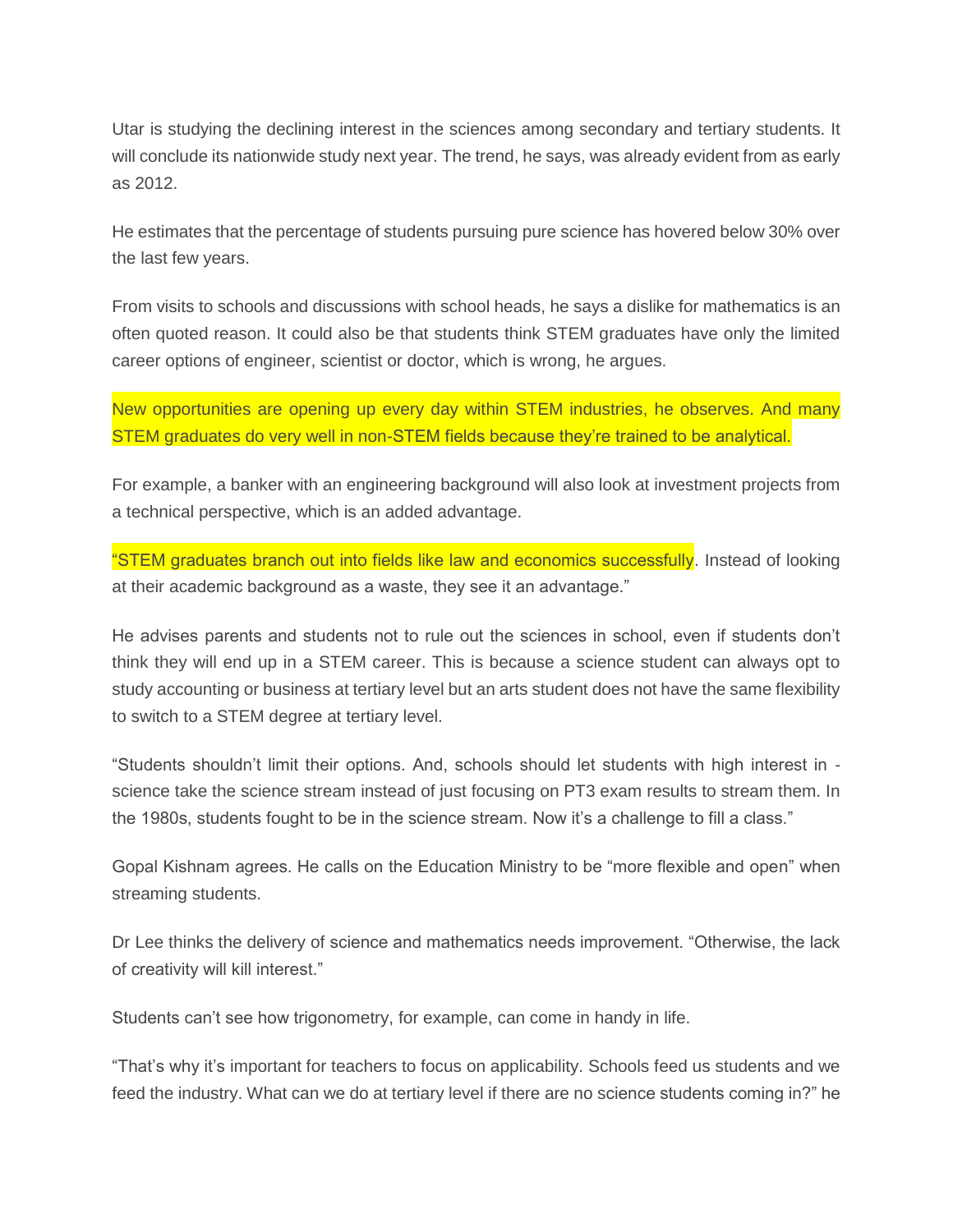Utar is studying the declining interest in the sciences among secondary and tertiary students. It will conclude its nationwide study next year. The trend, he says, was already evident from as early as 2012.

He estimates that the percentage of students pursuing pure science has hovered below 30% over the last few years.

From visits to schools and discussions with school heads, he says a dislike for mathematics is an often quoted reason. It could also be that students think STEM graduates have only the limited career options of engineer, scientist or doctor, which is wrong, he argues.

New opportunities are opening up every day within STEM industries, he observes. And many STEM graduates do very well in non-STEM fields because they're trained to be analytical.

For example, a banker with an engineering background will also look at investment projects from a technical perspective, which is an added advantage.

"STEM graduates branch out into fields like law and economics successfully. Instead of looking at their academic background as a waste, they see it an advantage."

He advises parents and students not to rule out the sciences in school, even if students don't think they will end up in a STEM career. This is because a science student can always opt to study accounting or business at tertiary level but an arts student does not have the same flexibility to switch to a STEM degree at tertiary level.

"Students shouldn't limit their options. And, schools should let students with high interest in science take the science stream instead of just focusing on PT3 exam results to stream them. In the 1980s, students fought to be in the science stream. Now it's a challenge to fill a class."

Gopal Kishnam agrees. He calls on the Education Ministry to be "more flexible and open" when streaming students.

Dr Lee thinks the delivery of science and mathematics needs improvement. "Otherwise, the lack of creativity will kill interest."

Students can't see how trigonometry, for example, can come in handy in life.

"That's why it's important for teachers to focus on applicability. Schools feed us students and we feed the industry. What can we do at tertiary level if there are no science students coming in?" he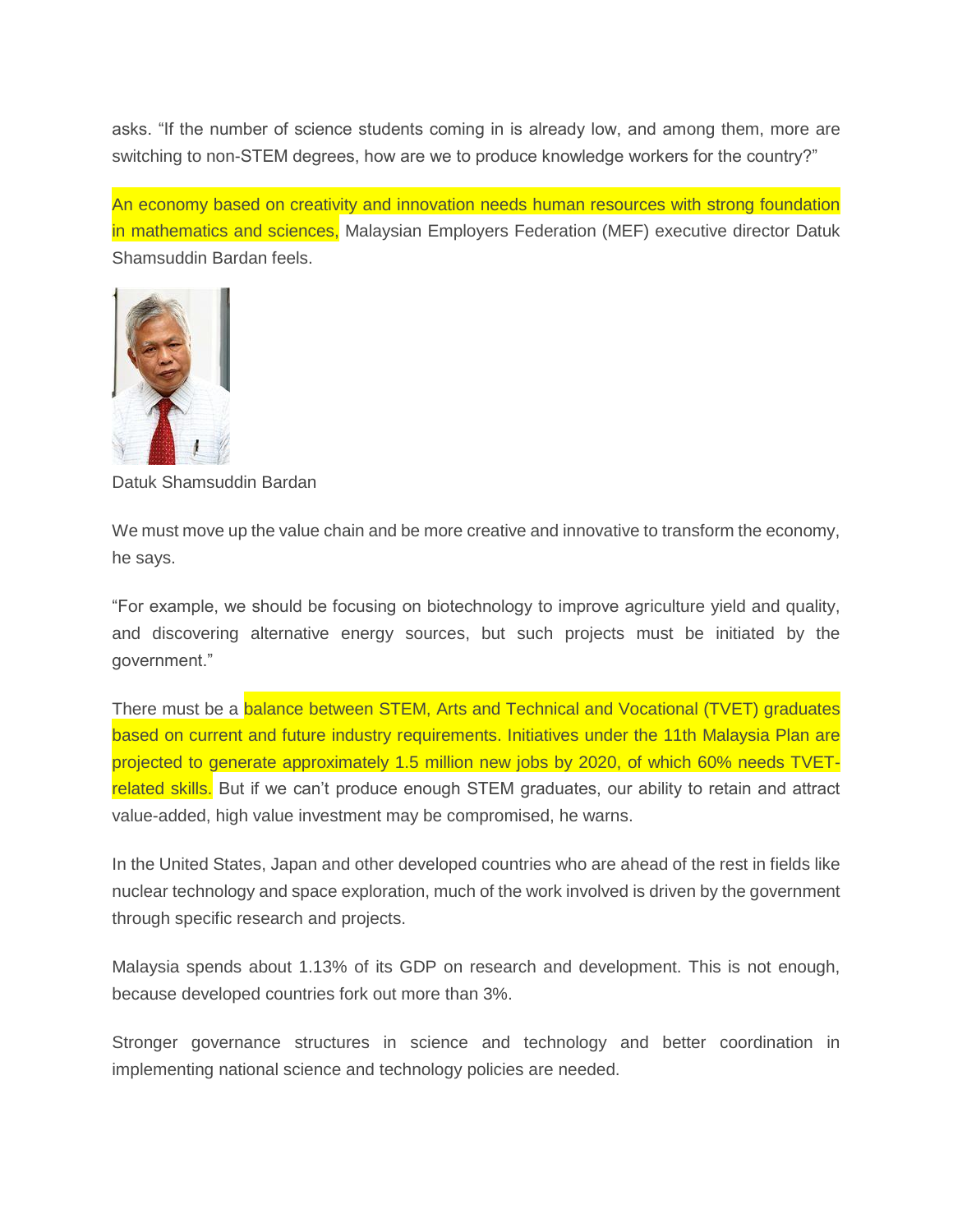asks. "If the number of science students coming in is already low, and among them, more are switching to non-STEM degrees, how are we to produce knowledge workers for the country?"

An economy based on creativity and innovation needs human resources with strong foundation in mathematics and sciences, Malaysian Employers Federation (MEF) executive director Datuk Shamsuddin Bardan feels.



Datuk Shamsuddin Bardan

We must move up the value chain and be more creative and innovative to transform the economy, he says.

"For example, we should be focusing on biotechnology to improve agriculture yield and quality, and discovering alternative energy sources, but such projects must be initiated by the government."

There must be a balance between STEM, Arts and Technical and Vocational (TVET) graduates based on current and future industry requirements. Initiatives under the 11th Malaysia Plan are projected to generate approximately 1.5 million new jobs by 2020, of which 60% needs TVETrelated skills. But if we can't produce enough STEM graduates, our ability to retain and attract value-added, high value investment may be compromised, he warns.

In the United States, Japan and other developed countries who are ahead of the rest in fields like nuclear technology and space exploration, much of the work involved is driven by the government through specific research and projects.

Malaysia spends about 1.13% of its GDP on research and development. This is not enough, because developed countries fork out more than 3%.

Stronger governance structures in science and technology and better coordination in implementing national science and technology policies are needed.